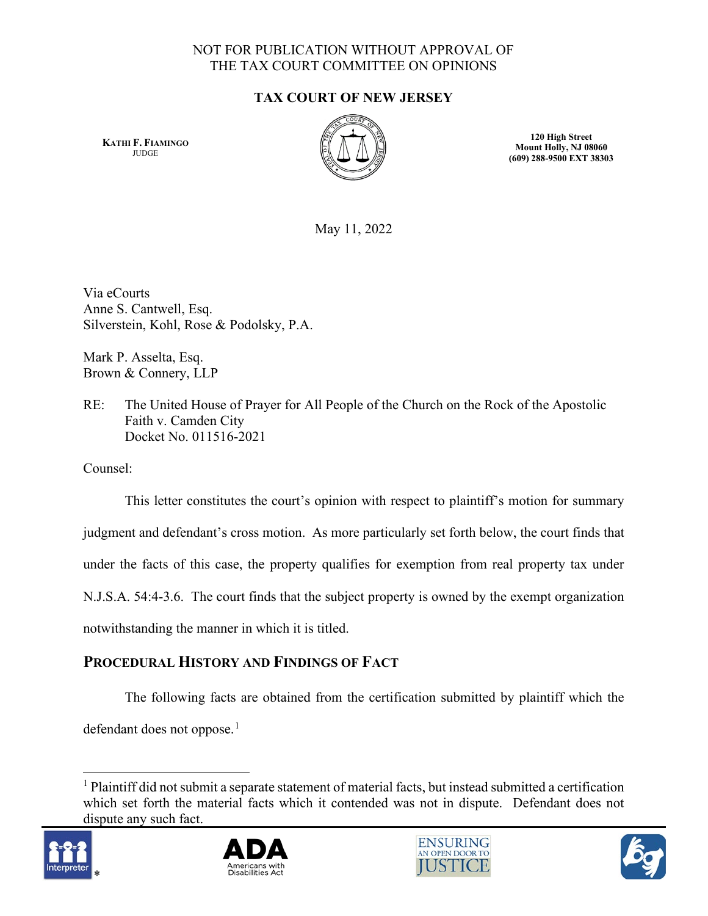## NOT FOR PUBLICATION WITHOUT APPROVAL OF THE TAX COURT COMMITTEE ON OPINIONS

## **TAX COURT OF NEW JERSEY**

**KATHI F. FIAMINGO JUDGE** 



**120 High Street Mount Holly, NJ 08060 (609) 288-9500 EXT 38303**

May 11, 2022

Via eCourts Anne S. Cantwell, Esq. Silverstein, Kohl, Rose & Podolsky, P.A.

Mark P. Asselta, Esq. Brown & Connery, LLP

RE: The United House of Prayer for All People of the Church on the Rock of the Apostolic Faith v. Camden City Docket No. 011516-2021

Counsel:

This letter constitutes the court's opinion with respect to plaintiff's motion for summary judgment and defendant's cross motion. As more particularly set forth below, the court finds that under the facts of this case, the property qualifies for exemption from real property tax under N.J.S.A. 54:4-3.6. The court finds that the subject property is owned by the exempt organization notwithstanding the manner in which it is titled.

# **PROCEDURAL HISTORY AND FINDINGS OF FACT**

The following facts are obtained from the certification submitted by plaintiff which the

defendant does not oppose.<sup>[1](#page-0-0)</sup>

<span id="page-0-0"></span><sup>&</sup>lt;sup>1</sup> Plaintiff did not submit a separate statement of material facts, but instead submitted a certification which set forth the material facts which it contended was not in dispute. Defendant does not dispute any such fact.







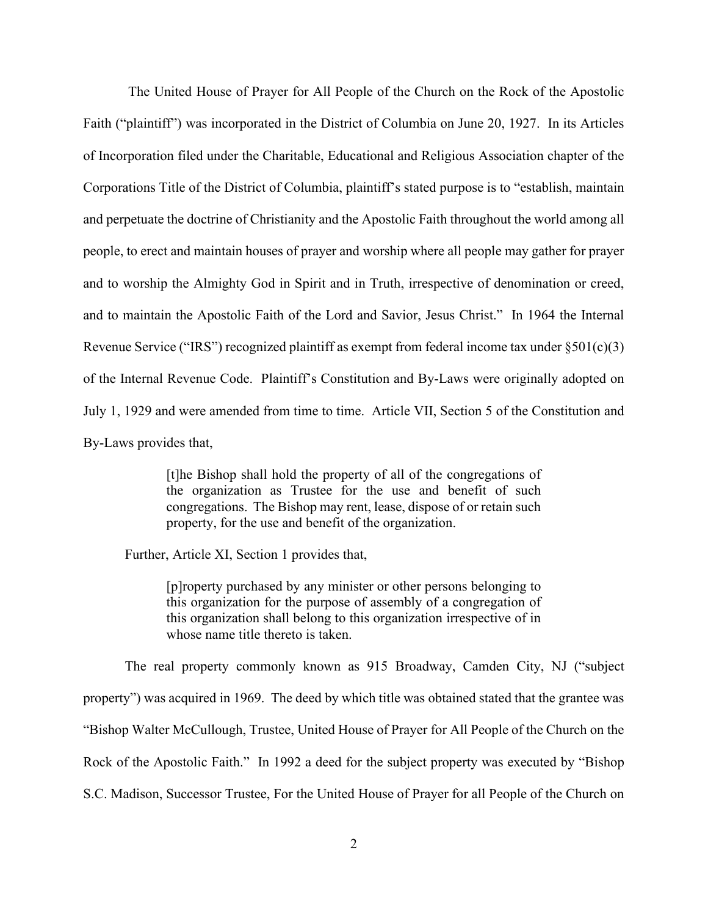The United House of Prayer for All People of the Church on the Rock of the Apostolic Faith ("plaintiff") was incorporated in the District of Columbia on June 20, 1927. In its Articles of Incorporation filed under the Charitable, Educational and Religious Association chapter of the Corporations Title of the District of Columbia, plaintiff's stated purpose is to "establish, maintain and perpetuate the doctrine of Christianity and the Apostolic Faith throughout the world among all people, to erect and maintain houses of prayer and worship where all people may gather for prayer and to worship the Almighty God in Spirit and in Truth, irrespective of denomination or creed, and to maintain the Apostolic Faith of the Lord and Savior, Jesus Christ." In 1964 the Internal Revenue Service ("IRS") recognized plaintiff as exempt from federal income tax under  $\S501(c)(3)$ of the Internal Revenue Code. Plaintiff's Constitution and By-Laws were originally adopted on July 1, 1929 and were amended from time to time. Article VII, Section 5 of the Constitution and By-Laws provides that,

> [t]he Bishop shall hold the property of all of the congregations of the organization as Trustee for the use and benefit of such congregations. The Bishop may rent, lease, dispose of or retain such property, for the use and benefit of the organization.

Further, Article XI, Section 1 provides that,

[p]roperty purchased by any minister or other persons belonging to this organization for the purpose of assembly of a congregation of this organization shall belong to this organization irrespective of in whose name title thereto is taken.

The real property commonly known as 915 Broadway, Camden City, NJ ("subject property") was acquired in 1969. The deed by which title was obtained stated that the grantee was "Bishop Walter McCullough, Trustee, United House of Prayer for All People of the Church on the Rock of the Apostolic Faith." In 1992 a deed for the subject property was executed by "Bishop S.C. Madison, Successor Trustee, For the United House of Prayer for all People of the Church on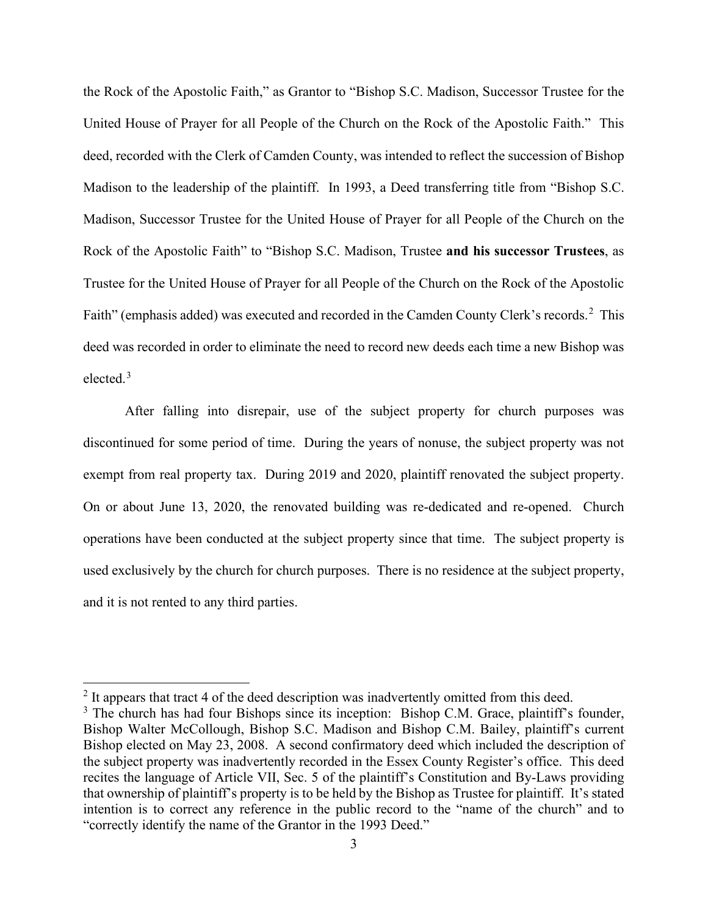the Rock of the Apostolic Faith," as Grantor to "Bishop S.C. Madison, Successor Trustee for the United House of Prayer for all People of the Church on the Rock of the Apostolic Faith." This deed, recorded with the Clerk of Camden County, was intended to reflect the succession of Bishop Madison to the leadership of the plaintiff. In 1993, a Deed transferring title from "Bishop S.C. Madison, Successor Trustee for the United House of Prayer for all People of the Church on the Rock of the Apostolic Faith" to "Bishop S.C. Madison, Trustee **and his successor Trustees**, as Trustee for the United House of Prayer for all People of the Church on the Rock of the Apostolic Faith" (emphasis added) was executed and recorded in the Camden County Clerk's records.<sup>[2](#page-2-0)</sup> This deed was recorded in order to eliminate the need to record new deeds each time a new Bishop was elected.<sup>[3](#page-2-1)</sup>

After falling into disrepair, use of the subject property for church purposes was discontinued for some period of time. During the years of nonuse, the subject property was not exempt from real property tax. During 2019 and 2020, plaintiff renovated the subject property. On or about June 13, 2020, the renovated building was re-dedicated and re-opened. Church operations have been conducted at the subject property since that time. The subject property is used exclusively by the church for church purposes. There is no residence at the subject property, and it is not rented to any third parties.

<span id="page-2-0"></span> $2$  It appears that tract 4 of the deed description was inadvertently omitted from this deed.

<span id="page-2-1"></span> $3$  The church has had four Bishops since its inception: Bishop C.M. Grace, plaintiff's founder, Bishop Walter McCollough, Bishop S.C. Madison and Bishop C.M. Bailey, plaintiff's current Bishop elected on May 23, 2008. A second confirmatory deed which included the description of the subject property was inadvertently recorded in the Essex County Register's office. This deed recites the language of Article VII, Sec. 5 of the plaintiff's Constitution and By-Laws providing that ownership of plaintiff's property is to be held by the Bishop as Trustee for plaintiff. It's stated intention is to correct any reference in the public record to the "name of the church" and to "correctly identify the name of the Grantor in the 1993 Deed."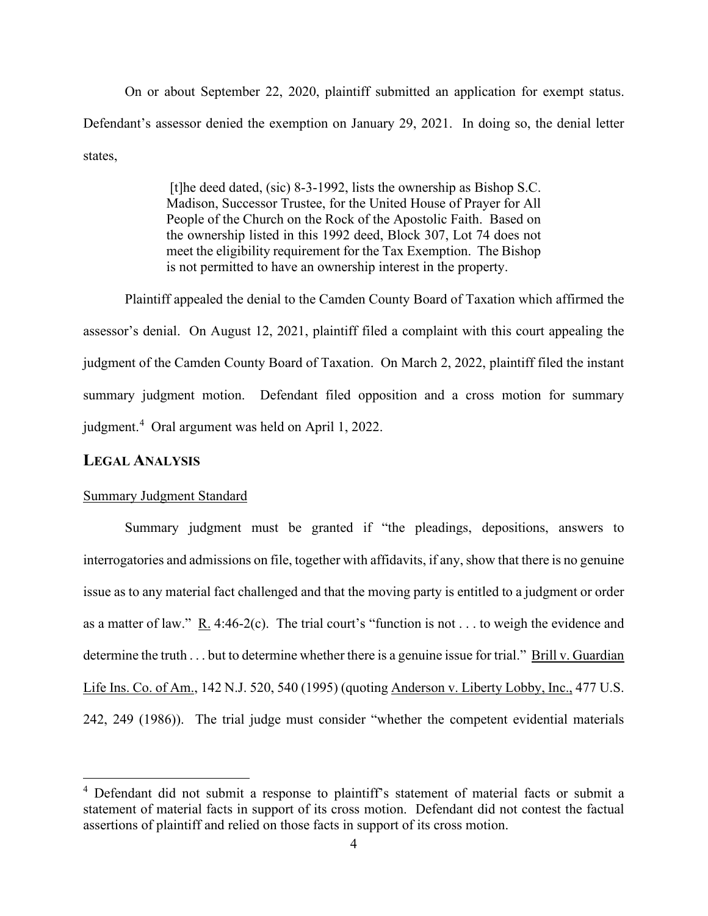On or about September 22, 2020, plaintiff submitted an application for exempt status. Defendant's assessor denied the exemption on January 29, 2021. In doing so, the denial letter states,

> [t]he deed dated, (sic) 8-3-1992, lists the ownership as Bishop S.C. Madison, Successor Trustee, for the United House of Prayer for All People of the Church on the Rock of the Apostolic Faith. Based on the ownership listed in this 1992 deed, Block 307, Lot 74 does not meet the eligibility requirement for the Tax Exemption. The Bishop is not permitted to have an ownership interest in the property.

 Plaintiff appealed the denial to the Camden County Board of Taxation which affirmed the assessor's denial. On August 12, 2021, plaintiff filed a complaint with this court appealing the judgment of the Camden County Board of Taxation. On March 2, 2022, plaintiff filed the instant summary judgment motion. Defendant filed opposition and a cross motion for summary judgment.<sup>[4](#page-3-0)</sup> Oral argument was held on April 1, 2022.

### **LEGAL ANALYSIS**

#### Summary Judgment Standard

Summary judgment must be granted if "the pleadings, depositions, answers to interrogatories and admissions on file, together with affidavits, if any, show that there is no genuine issue as to any material fact challenged and that the moving party is entitled to a judgment or order as a matter of law." R. 4:46-2(c). The trial court's "function is not . . . to weigh the evidence and determine the truth . . . but to determine whether there is a genuine issue for trial." Brill v. Guardian Life Ins. Co. of Am., 142 N.J. 520, 540 (1995) (quoting Anderson v. Liberty Lobby, Inc., 477 U.S. 242, 249 (1986)). The trial judge must consider "whether the competent evidential materials

<span id="page-3-0"></span><sup>4</sup> Defendant did not submit a response to plaintiff's statement of material facts or submit a statement of material facts in support of its cross motion. Defendant did not contest the factual assertions of plaintiff and relied on those facts in support of its cross motion.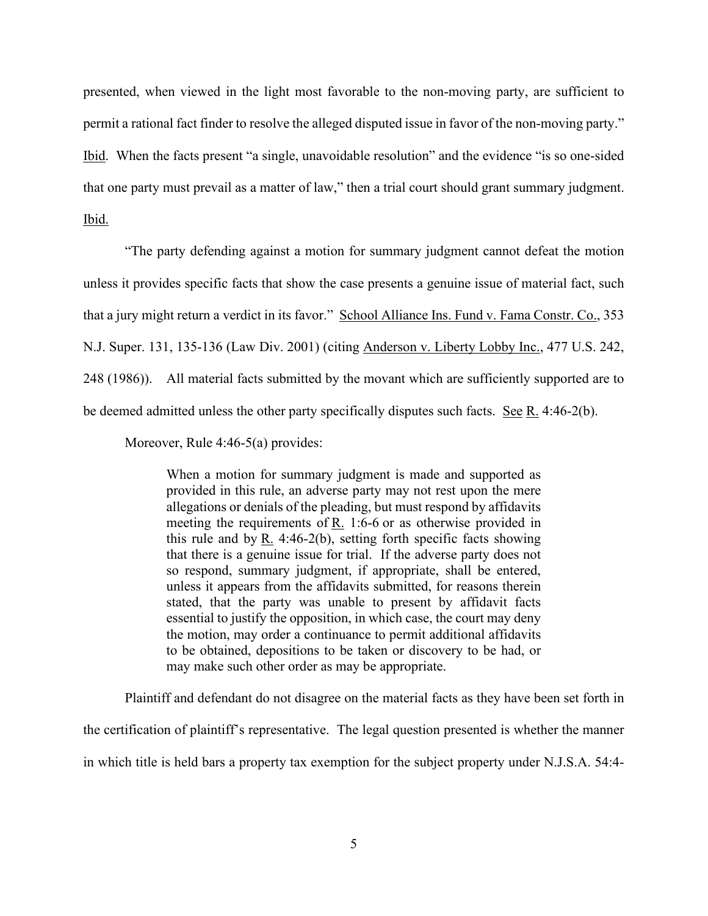presented, when viewed in the light most favorable to the non-moving party, are sufficient to permit a rational fact finder to resolve the alleged disputed issue in favor of the non-moving party." Ibid. When the facts present "a single, unavoidable resolution" and the evidence "is so one-sided that one party must prevail as a matter of law," then a trial court should grant summary judgment.

Ibid.

"The party defending against a motion for summary judgment cannot defeat the motion unless it provides specific facts that show the case presents a genuine issue of material fact, such that a jury might return a verdict in its favor." School Alliance Ins. Fund v. Fama Constr. Co., 353 N.J. Super. 131, 135-136 (Law Div. 2001) (citing Anderson v. Liberty Lobby Inc., 477 U.S. 242, 248 (1986)). All material facts submitted by the movant which are sufficiently supported are to be deemed admitted unless the other party specifically disputes such facts. See R. 4:46-2(b).

Moreover, Rule 4:46-5(a) provides:

When a motion for summary judgment is made and supported as provided in this rule, an adverse party may not rest upon the mere allegations or denials of the pleading, but must respond by affidavits meeting the requirements of R. 1:6-6 or as otherwise provided in this rule and by  $R_1$ . 4:46-2(b), setting forth specific facts showing that there is a genuine issue for trial. If the adverse party does not so respond, summary judgment, if appropriate, shall be entered, unless it appears from the affidavits submitted, for reasons therein stated, that the party was unable to present by affidavit facts essential to justify the opposition, in which case, the court may deny the motion, may order a continuance to permit additional affidavits to be obtained, depositions to be taken or discovery to be had, or may make such other order as may be appropriate.

Plaintiff and defendant do not disagree on the material facts as they have been set forth in the certification of plaintiff's representative. The legal question presented is whether the manner in which title is held bars a property tax exemption for the subject property under N.J.S.A. 54:4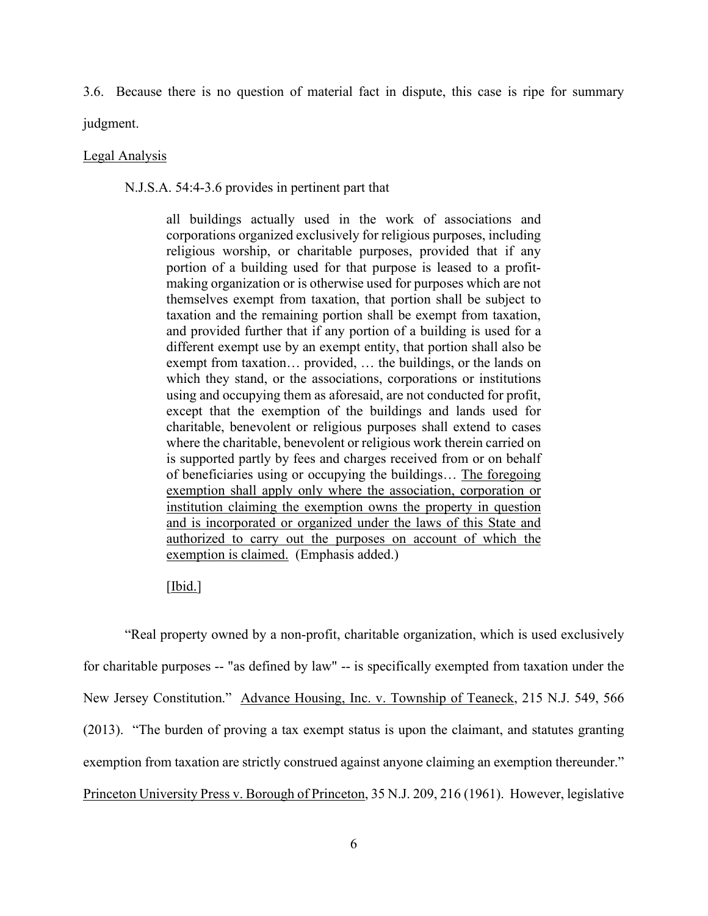3.6. Because there is no question of material fact in dispute, this case is ripe for summary judgment.

#### Legal Analysis

N.J.S.A. 54:4-3.6 provides in pertinent part that

all buildings actually used in the work of associations and corporations organized exclusively for religious purposes, including religious worship, or charitable purposes, provided that if any portion of a building used for that purpose is leased to a profitmaking organization or is otherwise used for purposes which are not themselves exempt from taxation, that portion shall be subject to taxation and the remaining portion shall be exempt from taxation, and provided further that if any portion of a building is used for a different exempt use by an exempt entity, that portion shall also be exempt from taxation… provided, … the buildings, or the lands on which they stand, or the associations, corporations or institutions using and occupying them as aforesaid, are not conducted for profit, except that the exemption of the buildings and lands used for charitable, benevolent or religious purposes shall extend to cases where the charitable, benevolent or religious work therein carried on is supported partly by fees and charges received from or on behalf of beneficiaries using or occupying the buildings… The foregoing exemption shall apply only where the association, corporation or institution claiming the exemption owns the property in question and is incorporated or organized under the laws of this State and authorized to carry out the purposes on account of which the exemption is claimed. (Emphasis added.)

#### [Ibid.]

 "Real property owned by a non-profit, charitable organization, which is used exclusively for charitable purposes -- "as defined by law" -- is specifically exempted from taxation under the New Jersey Constitution." Advance Housing, Inc. v. Township of Teaneck, 215 N.J. 549, 566 (2013). "The burden of proving a tax exempt status is upon the claimant, and statutes granting exemption from taxation are strictly construed against anyone claiming an exemption thereunder." Princeton University Press v. Borough of Princeton, 35 N.J. 209, 216 (1961). However, legislative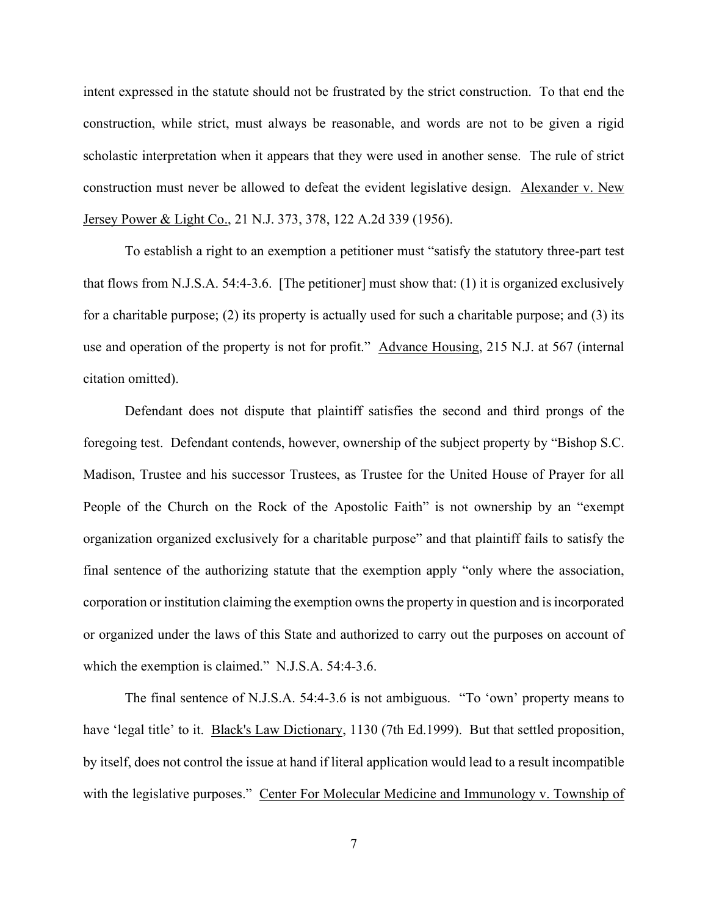intent expressed in the statute should not be frustrated by the strict construction. To that end the construction, while strict, must always be reasonable, and words are not to be given a rigid scholastic interpretation when it appears that they were used in another sense. The rule of strict construction must never be allowed to defeat the evident legislative design. Alexander v. New Jersey Power & Light Co., 21 N.J. 373, 378, 122 A.2d 339 (1956).

To establish a right to an exemption a petitioner must "satisfy the statutory three-part test that flows from N.J.S.A. 54:4-3.6. [The petitioner] must show that: (1) it is organized exclusively for a charitable purpose; (2) its property is actually used for such a charitable purpose; and (3) its use and operation of the property is not for profit." Advance Housing, 215 N.J. at 567 (internal citation omitted).

Defendant does not dispute that plaintiff satisfies the second and third prongs of the foregoing test. Defendant contends, however, ownership of the subject property by "Bishop S.C. Madison, Trustee and his successor Trustees, as Trustee for the United House of Prayer for all People of the Church on the Rock of the Apostolic Faith" is not ownership by an "exempt organization organized exclusively for a charitable purpose" and that plaintiff fails to satisfy the final sentence of the authorizing statute that the exemption apply "only where the association, corporation or institution claiming the exemption owns the property in question and is incorporated or organized under the laws of this State and authorized to carry out the purposes on account of which the exemption is claimed." N.J.S.A. 54:4-3.6.

The final sentence of N.J.S.A. 54:4-3.6 is not ambiguous. "To 'own' property means to have 'legal title' to it. Black's Law Dictionary, 1130 (7th Ed.1999). But that settled proposition, by itself, does not control the issue at hand if literal application would lead to a result incompatible with the legislative purposes." Center For Molecular Medicine and Immunology v. Township of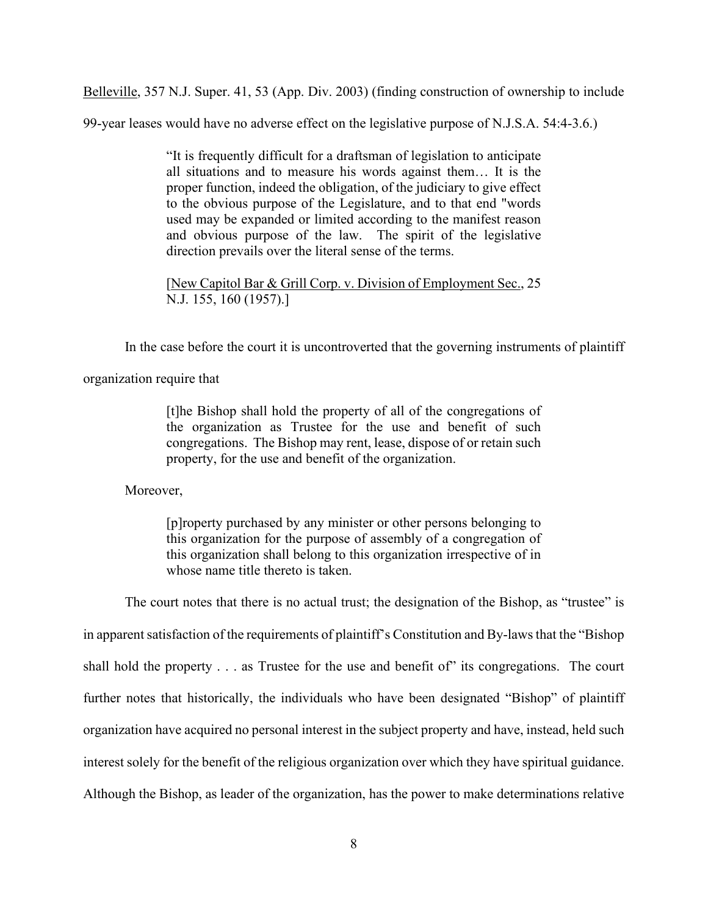Belleville, 357 N.J. Super. 41, 53 (App. Div. 2003) (finding construction of ownership to include

99-year leases would have no adverse effect on the legislative purpose of N.J.S.A. 54:4-3.6.)

"It is frequently difficult for a draftsman of legislation to anticipate all situations and to measure his words against them… It is the proper function, indeed the obligation, of the judiciary to give effect to the obvious purpose of the Legislature, and to that end "words used may be expanded or limited according to the manifest reason and obvious purpose of the law. The spirit of the legislative direction prevails over the literal sense of the terms.

[New Capitol Bar & Grill Corp. v. Division of Employment Sec., 25 N.J. 155, 160 (1957).]

In the case before the court it is uncontroverted that the governing instruments of plaintiff

organization require that

[t]he Bishop shall hold the property of all of the congregations of the organization as Trustee for the use and benefit of such congregations. The Bishop may rent, lease, dispose of or retain such property, for the use and benefit of the organization.

Moreover,

[p]roperty purchased by any minister or other persons belonging to this organization for the purpose of assembly of a congregation of this organization shall belong to this organization irrespective of in whose name title thereto is taken.

The court notes that there is no actual trust; the designation of the Bishop, as "trustee" is

in apparent satisfaction of the requirements of plaintiff's Constitution and By-laws that the "Bishop shall hold the property  $\ldots$  as Trustee for the use and benefit of its congregations. The court further notes that historically, the individuals who have been designated "Bishop" of plaintiff organization have acquired no personal interest in the subject property and have, instead, held such interest solely for the benefit of the religious organization over which they have spiritual guidance. Although the Bishop, as leader of the organization, has the power to make determinations relative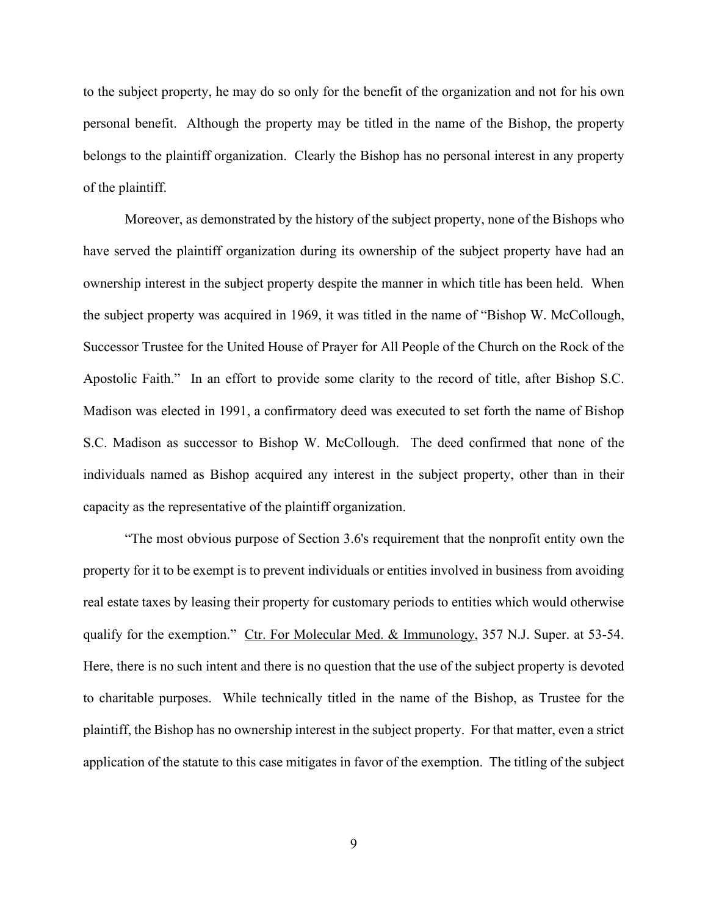to the subject property, he may do so only for the benefit of the organization and not for his own personal benefit. Although the property may be titled in the name of the Bishop, the property belongs to the plaintiff organization. Clearly the Bishop has no personal interest in any property of the plaintiff.

Moreover, as demonstrated by the history of the subject property, none of the Bishops who have served the plaintiff organization during its ownership of the subject property have had an ownership interest in the subject property despite the manner in which title has been held. When the subject property was acquired in 1969, it was titled in the name of "Bishop W. McCollough, Successor Trustee for the United House of Prayer for All People of the Church on the Rock of the Apostolic Faith." In an effort to provide some clarity to the record of title, after Bishop S.C. Madison was elected in 1991, a confirmatory deed was executed to set forth the name of Bishop S.C. Madison as successor to Bishop W. McCollough. The deed confirmed that none of the individuals named as Bishop acquired any interest in the subject property, other than in their capacity as the representative of the plaintiff organization.

 "The most obvious purpose of Section 3.6's requirement that the nonprofit entity own the property for it to be exempt is to prevent individuals or entities involved in business from avoiding real estate taxes by leasing their property for customary periods to entities which would otherwise qualify for the exemption." Ctr. For Molecular Med. & Immunology, 357 N.J. Super. at 53-54. Here, there is no such intent and there is no question that the use of the subject property is devoted to charitable purposes. While technically titled in the name of the Bishop, as Trustee for the plaintiff, the Bishop has no ownership interest in the subject property. For that matter, even a strict application of the statute to this case mitigates in favor of the exemption. The titling of the subject